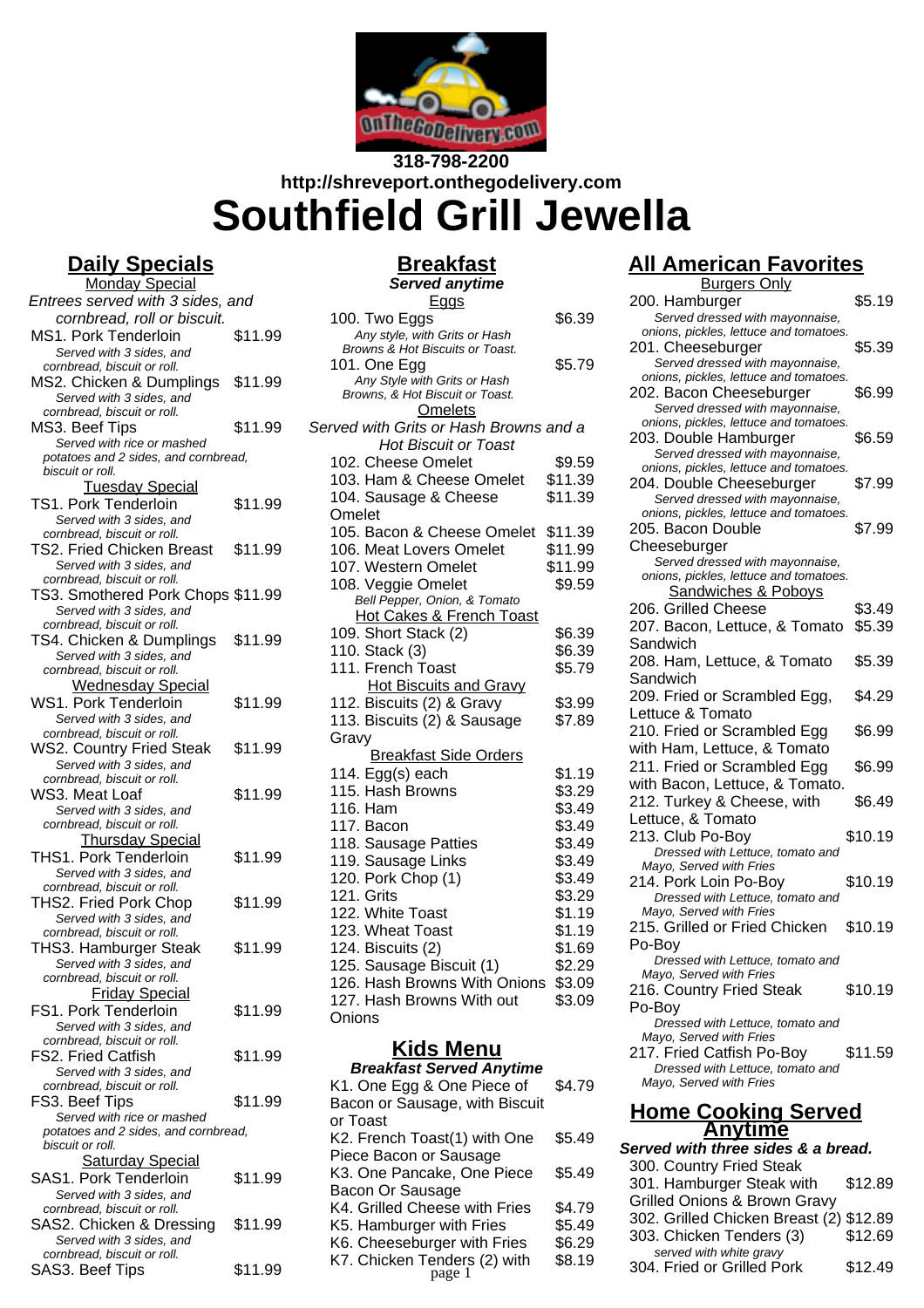

## **318-798-2200 http://shreveport.onthegodelivery.com Southfield Grill Jewella**

### **Daily Specials**

Monday Special Entrees served with 3 sides, and cornbread, roll or biscuit. MS1. Pork Tenderloin \$11.99 Served with 3 sides, and cornbread, biscuit or roll. MS2. Chicken & Dumplings \$11.99 Served with 3 sides, and cornbread, biscuit or roll. MS3. Beef Tips \$11.99 Served with rice or mashed potatoes and 2 sides, and cornbread, biscuit or roll. Tuesday Special TS1. Pork Tenderloin \$11.99 Served with 3 sides, and cornbread, biscuit or roll. TS2. Fried Chicken Breast \$11.99 Served with 3 sides, and cornbread, biscuit or roll. TS3. Smothered Pork Chops \$11.99 Served with 3 sides, and cornbread, biscuit or roll. TS4. Chicken & Dumplings \$11.99 Served with 3 sides, and cornbread, biscuit or roll. Wednesday Special WS1. Pork Tenderloin \$11.99 Served with 3 sides, and cornbread, biscuit or roll. WS2. Country Fried Steak \$11.99 Served with 3 sides, and cornbread, biscuit or roll. WS3. Meat Loaf \$11.99 Served with 3 sides, and cornbread, biscuit or roll. Thursday Special THS1. Pork Tenderloin \$11.99 Served with 3 sides, and cornbread, biscuit or roll. THS2. Fried Pork Chop \$11.99 Served with 3 sides, and cornbread, biscuit or roll. THS3. Hamburger Steak \$11.99 Served with 3 sides, and cornbread, biscuit or roll. Friday Special FS1. Pork Tenderloin \$11.99 Served with 3 sides, and cornbread, biscuit or roll. FS2. Fried Catfish \$11.99 Served with 3 sides, and cornbread, biscuit or roll. FS3. Beef Tips \$11.99 Served with rice or mashed potatoes and 2 sides, and cornbread, biscuit or roll. **Saturday Special** SAS1. Pork Tenderloin \$11.99 Served with 3 sides, and cornbread, biscuit or roll. SAS2. Chicken & Dressing \$11.99 Served with 3 sides, and cornbread, biscuit or roll. SAS3. Beef Tips \$11.99

# **Breakfast**

#### **Served anytime** Eggs

| 100. Two Eggs                          | \$6.39  |
|----------------------------------------|---------|
| Any style, with Grits or Hash          |         |
| Browns & Hot Biscuits or Toast.        |         |
| 101. One Egg                           | \$5.79  |
| Any Style with Grits or Hash           |         |
| Browns, & Hot Biscuit or Toast.        |         |
| <b>Omelets</b>                         |         |
| Served with Grits or Hash Browns and a |         |
| Hot Biscuit or Toast                   |         |
| 102. Cheese Omelet                     | \$9.59  |
| 103. Ham & Cheese Omelet               | \$11.39 |
| 104. Sausage & Cheese                  | \$11.39 |
| Omelet                                 |         |
| 105. Bacon & Cheese Omelet             | \$11.39 |
| 106. Meat Lovers Omelet                | \$11.99 |
| 107. Western Omelet                    | \$11.99 |
| 108. Veggie Omelet                     | \$9.59  |
| Bell Pepper, Onion, & Tomato           |         |
| <b>Hot Cakes &amp; French Toast</b>    |         |
| 109. Short Stack (2)                   | \$6.39  |
| 110. Stack (3)                         | \$6.39  |
| 111. French Toast                      | \$5.79  |
| <b>Hot Biscuits and Gravy</b>          |         |
| 112. Biscuits (2) & Gravy              | \$3.99  |
| 113. Biscuits (2) & Sausage            | \$7.89  |
| Gravy                                  |         |
| <b>Breakfast Side Orders</b>           |         |
| 114. Egg(s) each                       | \$1.19  |
| 115. Hash Browns                       | \$3.29  |
|                                        |         |
| 116. Ham                               | \$3.49  |
| 117. Bacon                             | \$3.49  |
| 118. Sausage Patties                   | \$3.49  |
| 119. Sausage Links                     | \$3.49  |
| 120. Pork Chop (1)                     | \$3.49  |
| 121. Grits                             | \$3.29  |
| 122. White Toast                       | \$1.19  |
| 123. Wheat Toast                       | \$1.19  |
| 124. Biscuits (2)                      | \$1.69  |
| 125. Sausage Biscuit (1)               | \$2.29  |
| 126. Hash Browns With Onions           | \$3.09  |
| 127. Hash Browns With out              | \$3.09  |
| Onions                                 |         |
|                                        |         |

### **Kids Menu**

| <b>Breakfast Served Anytime</b> |        |
|---------------------------------|--------|
| K1. One Egg & One Piece of      | \$4.79 |
| Bacon or Sausage, with Biscuit  |        |
| or Toast                        |        |
| K2. French Toast(1) with One    | \$5.49 |
| Piece Bacon or Sausage          |        |
| K3. One Pancake, One Piece      | \$5.49 |
| Bacon Or Sausage                |        |
| K4. Grilled Cheese with Fries   | \$4.79 |
| K5. Hamburger with Fries        | \$5.49 |
| K6. Cheeseburger with Fries     | \$6.29 |
| K7. Chicken Tenders (2) with    | \$8.19 |
|                                 |        |

## **All American Favorites**

| <b>Burgers Only</b>                                         |         |  |
|-------------------------------------------------------------|---------|--|
| 200. Hamburger                                              | \$5.19  |  |
| Served dressed with mayonnaise,                             |         |  |
| onions, pickles, lettuce and tomatoes.                      |         |  |
| 201. Cheeseburger                                           | \$5.39  |  |
| Served dressed with mayonnaise,                             |         |  |
| onions, pickles, lettuce and tomatoes.                      |         |  |
| 202. Bacon Cheeseburger                                     | \$6.99  |  |
| Served dressed with mayonnaise,                             |         |  |
| onions, pickles, lettuce and tomatoes.                      |         |  |
| 203. Double Hamburger<br>Served dressed with mayonnaise,    | \$6.59  |  |
| onions, pickles, lettuce and tomatoes.                      |         |  |
| 204. Double Cheeseburger                                    | \$7.99  |  |
| Served dressed with mayonnaise,                             |         |  |
| onions, pickles, lettuce and tomatoes.                      |         |  |
| 205. Bacon Double                                           | \$7.99  |  |
| Cheeseburger                                                |         |  |
| Served dressed with mayonnaise,                             |         |  |
| onions, pickles, lettuce and tomatoes.                      |         |  |
| <b>Sandwiches &amp; Poboys</b>                              |         |  |
| 206. Grilled Cheese                                         | \$3.49  |  |
| 207. Bacon, Lettuce, & Tomato                               | \$5.39  |  |
| Sandwich                                                    |         |  |
| 208. Ham, Lettuce, & Tomato                                 | \$5.39  |  |
| Sandwich                                                    |         |  |
| 209. Fried or Scrambled Egg,                                | \$4.29  |  |
| Lettuce & Tomato                                            |         |  |
| 210. Fried or Scrambled Egg                                 | \$6.99  |  |
| with Ham, Lettuce, & Tomato                                 |         |  |
| 211. Fried or Scrambled Egg                                 | \$6.99  |  |
| with Bacon, Lettuce, & Tomato.                              |         |  |
| 212. Turkey & Cheese, with                                  | \$6.49  |  |
| Lettuce, & Tomato                                           |         |  |
| 213. Club Po-Boy                                            | \$10.19 |  |
| Dressed with Lettuce, tomato and                            |         |  |
| Mayo, Served with Fries                                     |         |  |
| 214. Pork Loin Po-Boy                                       | \$10.19 |  |
| Dressed with Lettuce, tomato and                            |         |  |
| Mayo, Served with Fries                                     |         |  |
| 215. Grilled or Fried Chicken                               | \$10.19 |  |
| Po-Boy                                                      |         |  |
| Dressed with Lettuce, tomato and                            |         |  |
| Mayo, Served with Fries                                     |         |  |
| 216. Country Fried Steak                                    | \$10.19 |  |
| Po-Boy                                                      |         |  |
| Dressed with Lettuce, tomato and<br>Mayo, Served with Fries |         |  |
| 217. Fried Catfish Po-Boy                                   | \$11.59 |  |
| Dressed with Lettuce, tomato and                            |         |  |
| Mayo, Served with Fries                                     |         |  |
|                                                             |         |  |
| <u> Home Cooking Served</u><br>Anytime                      |         |  |
| Served with three sides & a bread.                          |         |  |
| 200 Country Fried Steak                                     |         |  |

| r Sausage                               | Served with three sides & a bread.      |
|-----------------------------------------|-----------------------------------------|
| \$5.49<br>ake, One Piece                | 300. Country Fried Steak                |
| sage                                    | 301. Hamburger Steak with<br>\$12.89    |
| \$4.79<br>eese with Fries               | <b>Grilled Onions &amp; Brown Gravy</b> |
| \$5.49<br>r with Fries                  | 302. Grilled Chicken Breast (2) \$12.89 |
| \$6.29<br>rger with Fries               | \$12.69<br>303. Chicken Tenders (3)     |
| \$8.19                                  | served with white gravy                 |
| end <mark>ers (2) with</mark><br>page 1 | \$12.49<br>304. Fried or Grilled Pork   |